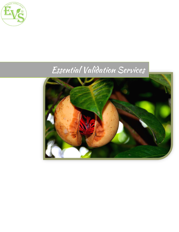

# Essential Validation Services

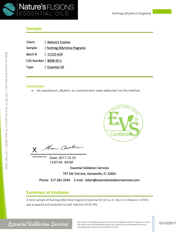

#### **Sample:**

| Client: | Nature's Fusions            |
|---------|-----------------------------|
| Sample: | Nutmeg (Myristica fragrans) |

Batch # | 11101-A19

CAS Number | 8008-45-5

Type: | Essential Oil

#### **Conclusion:**

• No adulterants, diluents, or contaminants were detected via this method.



Han Chosten X

Validated By: Date: 2017.10.10 13:07:45 -04'00'

Essential Validation Services

747 SW 2nd Ave, Gainesville, FL 32601

Phone: 317-361-5044 E-mail: Adam@essentialvalidationservices.com

#### **Summary of Analyses**

A fresh sample of Nutmeg (Myristica fragrans) Essential Oil (10 uL in .5to.5 mL Hexane + ETOH) was prepared and analyzed via split injection GC/EI-MS.

E

### **Essential Validation Services**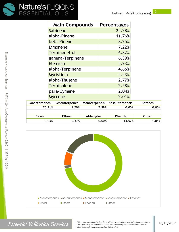

| <b>Main Compounds</b> | <b>Percentages</b> |
|-----------------------|--------------------|
| Sabinene              | 24.28%             |
| alpha-Pinene          | 11.76%             |
| beta-Pinene           | 8.25%              |
| Limonene              | 7.22%              |
| Terpinen-4-ol         | 6.82%              |
| gamma-Terpinene       | 6.39%              |
| <b>Elemicin</b>       | 5.23%              |
| alpha-Terpinene       | 4.66%              |
| <b>Myristicin</b>     | 4.43%              |
| alpha-Thujene         | 2.77%              |
| <b>Terpinolene</b>    | 2.58%              |
| para-Cymene           | 2.04%              |
| <b>Myrcene</b>        | 2.01%              |

| <b>Monoterpenes</b> | <b>Sesquiterpenes</b> | <b>Monoterpenols</b> | Sesquiterpenols | <b>Ketones</b> |
|---------------------|-----------------------|----------------------|-----------------|----------------|
| 75.21%              | 1.79%                 | 7.99%                | 0.00%           | 0.00%          |
|                     |                       |                      |                 |                |
| <b>Esters</b>       | <b>Ethers</b>         | Aldehydes            | <b>Phenols</b>  | <b>Other</b>   |
| 0.03%               | 0.37%                 | 0.00%                | 13.57%          | 1.04%          |



Essential Validation Services

*- This report is the digitally signed and will only be considered valid if the signature is intact. - This report may not be published without the consent of Essential Validation Services. - Chromatograph image may not show full run time*

#### 10/10/2017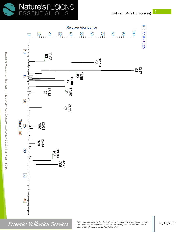



E

### Essential Validation Services

10/10/2017

*<sup>-</sup> This report is the digitally signed and will only be considered valid if the signature is intact. - This report may not be published without the consent of Essential Validation Services. - Chromatograph image may not show full run time*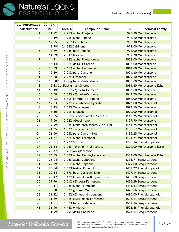| <b>Total Percentage</b> | 99.12%    |        |                                    |                |                           |
|-------------------------|-----------|--------|------------------------------------|----------------|---------------------------|
| <b>Peak Number</b>      | <b>RT</b> | Area % | <b>Compound Name</b>               | R <sub>l</sub> | <b>Chemical Family</b>    |
| $\mathbf{1}$            | 11.92     |        | 2.77% alpha-Thujene                |                | 927.80 Monoterpene        |
| 2                       | 12.19     |        | 11.76% alpha-Pinene                |                | 936.10 Monoterpene        |
| 3                       | 12.75     |        | 0.25% Camphene                     |                | 950.30 Monoterpene        |
| 4                       | 13.78     |        | 24.28% Sabinene                    |                | 973.00 Monoterpene        |
| 5                       | 13.89     |        | 8.25% beta-Pinene                  |                | 974.00 Monoterpene        |
| 6                       | 14.39     |        | 2.01% Myrcene                      |                | 989.20 Monoterpene        |
| $\overline{7}$          | 14.91     |        | 1.23% alpha-Phellandrene           |                | 1002.00 Monoterpene       |
| $\bf 8$                 | 15.14     |        | 1.68% delta-3-Carene               |                | 1008.00 Monoterpene       |
| 9                       | 15.39     |        | 4.66% alpha-Terpinene              |                | 1014.00 Monoterpene       |
| 10                      | 15.69     |        | 2.04% para-Cymene                  |                | 1024.30 Monoterpene       |
| 11                      | 15.88     |        | 7.22% Limonene                     |                | 1029.50 Monoterpene       |
| 12                      |           |        | 15.88 Co-Eluting beta-Phellandrene |                | 1030.00 Monoterpene       |
| 13                      |           |        | 15.88 Co-Eluting 1,8-Cineole       |                | 1031.80 Monoterpene Ether |
| 14                      | 16.19     |        | $0.05\%$ (Z)-beta-Ocimene          |                | 1037.80 Monoterpene       |
| 15                      | 16.58     |        | 0.02% (E)-beta-Ocimene             |                | 1047.70 Monoterpene       |
| 16                      | 17.02     |        | 6.39% gamma-Terpinene              |                | 1054.00 Monoterpene       |
| 17                      | 17.33     |        | 0.22% cis-Sabinene hydrate         |                | 1072.00 Monoterpenol      |
| 18                      | 18.13     |        | 2.58% Terpinolene                  |                | 1092.10 Monoterpene       |
| 19                      | 18.50     |        | 0.29% Linalool                     |                | 1099.00 Monoterpenol      |
| 20                      | 19.35     |        | 0.06% cis-para-Menth-2-en-1-ol     |                | 1118.25 Monoterpenol      |
| 21                      | 19.56     |        | 0.02% Alloocimene                  |                | 1129.90 Monoterpene       |
| 22                      | 19.99     |        | 0.03% trans-para-Menth-2-en-1-ol   |                | 1141.75 Monoterpenol      |
| 23                      | 21.35     |        | 6.82% Terpinen-4-ol                |                | 1180.57 Monoterpenol      |
| 24                      | 21.50     |        | 0.01% para-Cymen-8-ol              |                | 1185.25 Monoterpenol      |
| 25                      | 21.77     |        | 0.56% alpha-Terpineol              |                | 1191.71 Monoterpenol      |
| 26                      | 25.01     |        | 1.72% Safrole                      |                | 1290.14 Phenylpropanoid   |
| 27                      | 25.34     |        | 0.03% Terpinen-4-yl acetate        |                | 1299.00 Monoterpene Ester |
| 28                      | 25.47     |        | 0.70% Anisylacetone                |                |                           |
| 29                      | 26.85     |        | 0.37% alpha-Terpinyl acetate       |                | 1353.00 Monoterpene Ether |
| 30                      | 26.94     |        | 0.08% alpha-Cubebene               |                | 1355.71 Sesquiterpene     |
| 31                      | 27.79     |        | 0.66% alpha-Copaene                |                | 1379.00 Sesquiterpene     |
| 32                      | 28.44     |        | 1.38% Methyl Eugenol               |                | 1407.27 Phenylpropanoid   |
| 33                      | 29.14     |        | 0.37% beta-Caryophyllene           |                | 1427.14 Sesquiterpene     |
| 34                      | 29.47     |        | 0.13% trans-alpha-Bergamotene      |                | 1435.00 Sesquiterpene     |
| 35                      | 29.96     |        | 0.04% (E)-beta-Farnesene           |                | 1456.29 Sesquiterpene     |
| 36                      | 30.11     |        | 0.05% alpha-Humulene               |                | 1461.43 Sesquiterpene     |
| 37                      | 30.70     |        | 0.02% gamma-Muurolene              |                | 1478.86 Sesquiterpene     |
| 38                      | 31.12     |        | $0.46\%$ (E)-Methyl isoeugenol     |                | 1490.00 Phenylpropanoid   |
| 39                      | 31.39     |        | 0.06% (E,E)-alpha-Farnesene        |                | 1508.14 Sesquiterpene     |
| 40                      | 31.51     |        | 0.08% beta-Bisabolene              |                | 1509.86 Sesquiterpene     |
| 41                      | 31.90     |        | 4.43% Myristicin                   |                | 1522.86 Phenylpropanoid   |
| 42                      | 31.99     |        | 0.29% delta-Cadinene               |                | 1524.14 Sesquiterpene     |

## **Essential Validation Services**

*- This report is the digitally signed and will only be considered valid if the signature is intact. - This report may not be published without the consent of Essential Validation Services. - Chromatograph image may not show full run time*

m